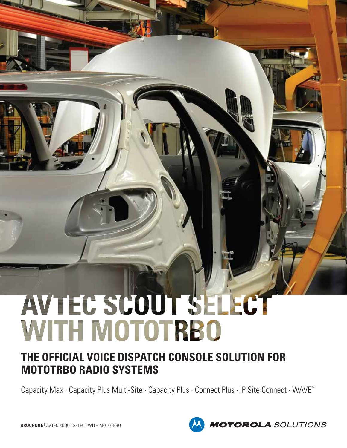# AVTEC SCOUT SELECT WITH MOTOTRBO

### **THE OFFICIAL VOICE DISPATCH CONSOLE SOLUTION FOR MOTOTRBO RADIO SYSTEMS**

Capacity Max · Capacity Plus Multi-Site · Capacity Plus · Connect Plus · IP Site Connect · WAVE™



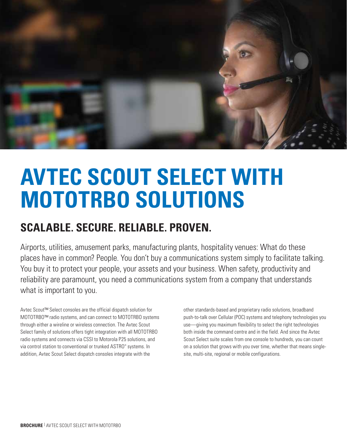

## **AVTEC SCOUT SELECT WITH MOTOTRBO SOLUTIONS**

## **SCALABLE. SECURE. RELIABLE. PROVEN.**

Airports, utilities, amusement parks, manufacturing plants, hospitality venues: What do these places have in common? People. You don't buy a communications system simply to facilitate talking. You buy it to protect your people, your assets and your business. When safety, productivity and reliability are paramount, you need a communications system from a company that understands what is important to you.

Avtec Scout™ Select consoles are the official dispatch solution for MOTOTRBO™ radio systems, and can connect to MOTOTRBO systems through either a wireline or wireless connection. The Avtec Scout Select family of solutions offers tight integration with all MOTOTRBO radio systems and connects via CSSI to Motorola P25 solutions, and via control station to conventional or trunked ASTRO® systems. In addition, Avtec Scout Select dispatch consoles integrate with the

other standards-based and proprietary radio solutions, broadband push-to-talk over Cellular (POC) systems and telephony technologies you use—giving you maximum flexibility to select the right technologies both inside the command centre and in the field. And since the Avtec Scout Select suite scales from one console to hundreds, you can count on a solution that grows with you over time, whether that means singlesite, multi-site, regional or mobile configurations.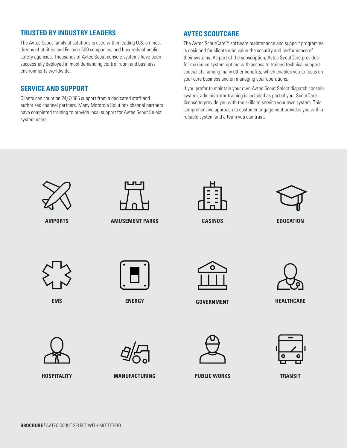### **TRUSTED BY INDUSTRY LEADERS**

The Avtec Scout family of solutions is used within leading U.S. airlines, dozens of utilities and Fortune 500 companies, and hundreds of public safety agencies. Thousands of Avtec Scout console systems have been successfully deployed in most demanding control room and business environments worldwide.

#### **SERVICE AND SUPPORT**

Clients can count on 24/7/365 support from a dedicated staff and authorized channel partners. Many Motorola Solutions channel partners have completed training to provide local support for Avtec Scout Select system users.

### **AVTEC SCOUTCARE**

The Avtec ScoutCare™ software maintenance and support programme is designed for clients who value the security and performance of their systems. As part of the subscription, Avtec ScoutCare provides for maximum system uptime with access to trained technical support specialists, among many other benefits, which enables you to focus on your core business and on managing your operations.

If you prefer to maintain your own Avtec Scout Select dispatch console system, administrator training is included as part of your ScoutCare license to provide you with the skills to service your own system. This comprehensive approach to customer engagement provides you with a reliable system and a team you can trust.





**AIRPORTS AMUSEMENT PARKS**



**CASINOS**



**EDUCATION**



**EMS**



**ENERGY**



**GOVERNMENT HEALTHCARE**





**HOSPITALITY**



**MANUFACTURING**





**PUBLIC WORKS TRANSIT**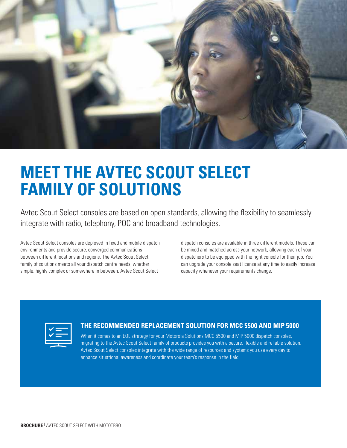

## **MEET THE AVTEC SCOUT SELECT FAMILY OF SOLUTIONS**

Avtec Scout Select consoles are based on open standards, allowing the flexibility to seamlessly integrate with radio, telephony, POC and broadband technologies.

Avtec Scout Select consoles are deployed in fixed and mobile dispatch environments and provide secure, converged communications between different locations and regions. The Avtec Scout Select family of solutions meets all your dispatch centre needs, whether simple, highly complex or somewhere in between. Avtec Scout Select

dispatch consoles are available in three different models. These can be mixed and matched across your network, allowing each of your dispatchers to be equipped with the right console for their job. You can upgrade your console seat license at any time to easily increase capacity whenever your requirements change.

| – |
|---|

#### **THE RECOMMENDED REPLACEMENT SOLUTION FOR MCC 5500 AND MIP 5000**

When it comes to an EOL strategy for your Motorola Solutions MCC 5500 and MIP 5000 dispatch consoles, migrating to the Avtec Scout Select family of products provides you with a secure, flexible and reliable solution. Avtec Scout Select consoles integrate with the wide range of resources and systems you use every day to enhance situational awareness and coordinate your team's response in the field.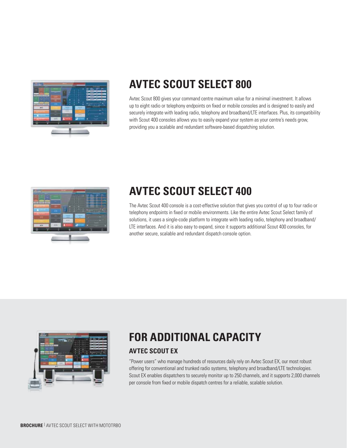

### **AVTEC SCOUT SELECT 800**

Avtec Scout 800 gives your command centre maximum value for a minimal investment. It allows up to eight radio or telephony endpoints on fixed or mobile consoles and is designed to easily and securely integrate with leading radio, telephony and broadband/LTE interfaces. Plus, its compatibility with Scout 400 consoles allows you to easily expand your system as your centre's needs grow, providing you a scalable and redundant software-based dispatching solution.



## **AVTEC SCOUT SELECT 400**

The Avtec Scout 400 console is a cost-effective solution that gives you control of up to four radio or telephony endpoints in fixed or mobile environments. Like the entire Avtec Scout Select family of solutions, it uses a single-code platform to integrate with leading radio, telephony and broadband/ LTE interfaces. And it is also easy to expand, since it supports additional Scout 400 consoles, for another secure, scalable and redundant dispatch console option.



## **FOR ADDITIONAL CAPACITY**

### **AVTEC SCOUT EX**

"Power users" who manage hundreds of resources daily rely on Avtec Scout EX, our most robust offering for conventional and trunked radio systems, telephony and broadband/LTE technologies. Scout EX enables dispatchers to securely monitor up to 250 channels, and it supports 2,000 channels per console from fixed or mobile dispatch centres for a reliable, scalable solution.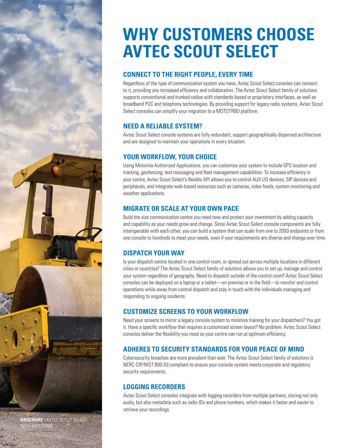## **WHY CUSTOMERS CHOOSE AVTEC SCOUT SELECT**

### **CONNECT TO THE RIGHT PEOPLE, EVERY TIME**

Regardless of the type of communication system you have, Avtec Scout Select consoles can connect to it, providing you increased efficiency and collaboration. The Avtec Scout Select family of solutions supports conventional and trunked radios with standards-based or proprietary interfaces, as well as broadband POC and telephony technologies. By providing support for legacy radio systems, Avtec Scout Select consoles can simplify your migration to a MOTOTRBO platform.

### **NEED A RELIABLE SYSTEM?**

Avtec Scout Select console systems are fully redundant, support geographically dispersed architecture and are designed to maintain your operations in every situation.

### **YOUR WORKFLOW, YOUR CHOICE**

Using Motorola Authorized Applications, you can customize your system to include GPS location and tracking, geofencing, text messaging and fleet management capabilities. To increase efficiency in your centre, Avtec Scout Select's flexible API allows you to control AUX I/O devices, SIP devices and peripherals, and integrate web-based resources such as cameras, video feeds, system monitoring and weather applications.

### **MIGRATE OR SCALE AT YOUR OWN PACE**

Build the size communication centre you need now and protect your investment by adding capacity and capability as your needs grow and change. Since Avtec Scout Select console components are fully interoperable with each other, you can build a system that can scale from one to 2000 endpoints or from one console to hundreds to meet your needs, even if your requirements are diverse and change over time.

### **DISPATCH YOUR WAY**

Is your dispatch centre located in one control room, or spread out across multiple locations in different cities or countries? The Avtec Scout Select family of solutions allows you to set up, manage and control your system regardless of geography. Need to dispatch outside of the control room? Avtec Scout Select consoles can be deployed on a laptop or a tablet—on-premise or in the field—to monitor and control operations while away from central dispatch and stay in touch with the individuals managing and responding to ongoing incidents.

### **CUSTOMIZE SCREENS TO YOUR WORKFLOW**

Need your screens to mirror a legacy console system to minimize training for your dispatchers? You got it. Have a specific workflow that requires a customized screen layout? No problem. Avtec Scout Select consoles deliver the flexibility you need so your centre can run at optimum efficiency.

### **ADHERES TO SECURITY STANDARDS FOR YOUR PEACE OF MIND**

Cybersecurity breaches are more prevalent than ever. The Avtec Scout Select family of solutions is NERC-CIP/NIST 800-53 compliant to ensure your console system meets corporate and regulatory security requirements.

### **LOGGING RECORDERS**

Avtec Scout Select consoles integrate with logging recorders from multiple partners, storing not only audio, but also metadata such as radio IDs and phone numbers, which makes it faster and easier to retrieve your recordings.

**BROCHURE** | AVTEC SCOUT SELECT WITH MOTOTRBO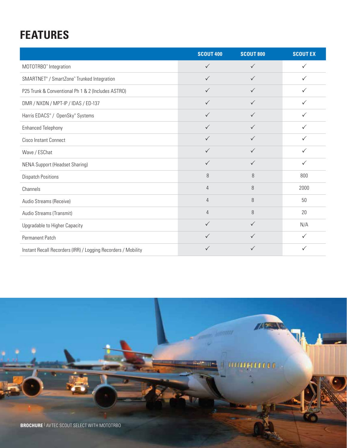## **FEATURES**

|                                                               | <b>SCOUT 400</b> | <b>SCOUT 800</b> | <b>SCOUTEX</b> |
|---------------------------------------------------------------|------------------|------------------|----------------|
| MOTOTRBO <sup>®</sup> Integration                             | $\checkmark$     | $\checkmark$     | $\checkmark$   |
| SMARTNET® / SmartZone™ Trunked Integration                    | $\checkmark$     | $\checkmark$     | $\checkmark$   |
| P25 Trunk & Conventional Ph 1 & 2 (Includes ASTRO)            | $\checkmark$     | $\checkmark$     | ✓              |
| DMR / NXDN / MPT-IP / IDAS / ED-137                           | $\checkmark$     | $\checkmark$     | ✓              |
| Harris EDACS® / OpenSky® Systems                              | $\checkmark$     | $\checkmark$     | $\checkmark$   |
| <b>Enhanced Telephony</b>                                     | $\checkmark$     | $\checkmark$     | ✓              |
| Cisco Instant Connect                                         | $\checkmark$     | $\checkmark$     | $\checkmark$   |
| Wave / ESChat                                                 | $\checkmark$     | $\checkmark$     | $\checkmark$   |
| <b>NENA Support (Headset Sharing)</b>                         | $\checkmark$     | $\checkmark$     | ✓              |
| <b>Dispatch Positions</b>                                     | 8                | 8                | 800            |
| Channels                                                      | $\overline{4}$   | 8                | 2000           |
| Audio Streams (Receive)                                       | $\overline{4}$   | 8                | 50             |
| Audio Streams (Transmit)                                      | $\overline{4}$   | 8                | 20             |
| Upgradable to Higher Capacity                                 | $\checkmark$     | $\checkmark$     | N/A            |
| Permanent Patch                                               | ✓                | ✓                | $\checkmark$   |
| Instant Recall Recorders (IRR) / Logging Recorders / Mobility | $\checkmark$     | $\checkmark$     | $\checkmark$   |